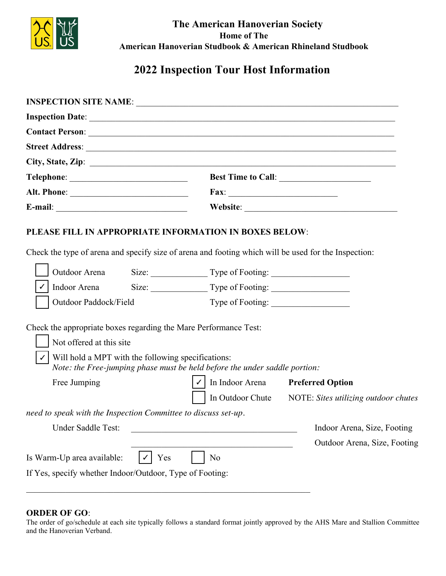

The American Hanoverian Society **Home of The** American Hanoverian Studbook & American Rhineland Studbook

# 2022 Inspection Tour Host Information

| <b>INSPECTION SITE NAME: WW</b>                                                                                                                                                                                                                  |                                     |                                                                 |  |  |
|--------------------------------------------------------------------------------------------------------------------------------------------------------------------------------------------------------------------------------------------------|-------------------------------------|-----------------------------------------------------------------|--|--|
| <b>Inspection Date: August 1, 2022</b>                                                                                                                                                                                                           |                                     |                                                                 |  |  |
| <b>Contact Person: Kenton Wright</b>                                                                                                                                                                                                             |                                     |                                                                 |  |  |
| Street Address: 85207 Telephone Pole Rd                                                                                                                                                                                                          |                                     |                                                                 |  |  |
| City, State, Zip: Milton-Freewater, OR 97862                                                                                                                                                                                                     |                                     |                                                                 |  |  |
| Telephone: 509-435-3590                                                                                                                                                                                                                          |                                     | Best Time to Call:                                              |  |  |
|                                                                                                                                                                                                                                                  |                                     |                                                                 |  |  |
| E-mail: kentwright1@hotmail.com                                                                                                                                                                                                                  |                                     | Website: www.wwarena.com                                        |  |  |
| <b>Outdoor Arena</b><br>Indoor Arena                                                                                                                                                                                                             |                                     | Size: 95X210 Type of Footing: Additive/Dirt                     |  |  |
|                                                                                                                                                                                                                                                  |                                     | Size: Type of Footing:                                          |  |  |
| Outdoor Paddock/Field                                                                                                                                                                                                                            | Type of Footing:                    |                                                                 |  |  |
| Check the appropriate boxes regarding the Mare Performance Test:<br>Not offered at this site<br>Will hold a MPT with the following specifications:<br>Note: the Free-jumping phase must be held before the under saddle portion:<br>Free Jumping | In Indoor Arena<br>In Outdoor Chute | <b>Preferred Option</b><br>NOTE: Sites utilizing outdoor chutes |  |  |
| need to speak with the Inspection Committee to discuss set-up.<br>95X210 Additive/Dirt<br>Under Saddle Test:                                                                                                                                     |                                     | Indoor Arena, Size, Footing                                     |  |  |

Outdoor Arena, Size, Footing

Yes Is Warm-Up area available: If Yes, specify whether Indoor/Outdoor, Type of Footing: Outdoor-dirt

 $\boldsymbol{\nu}$ 

### **ORDER OF GO:**

The order of go/schedule at each site typically follows a standard format jointly approved by the AHS Mare and Stallion Committee and the Hanoverian Verband.

N<sub>o</sub>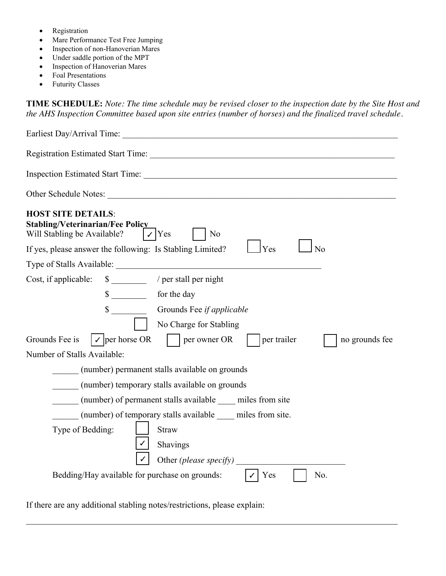- Registration
- Mare Performance Test Free Jumping
- Inspection of non-Hanoverian Mares
- Under saddle portion of the MPT
- Inspection of Hanoverian Mares
- Foal Presentations
- Futurity Classes

**TIME SCHEDULE:** Note: The time schedule may be revised closer to the inspection date by the Site Host and *the AHS Inspection Committee based upon site entries (number of horses) and the finalized travel schedule.* 

| Earliest Day/Arrival Time: Flexible arrange with site host 8/1/2022                                                                                                                                                                   |  |  |  |  |
|---------------------------------------------------------------------------------------------------------------------------------------------------------------------------------------------------------------------------------------|--|--|--|--|
| Registration Estimated Start Time: 8:00 am                                                                                                                                                                                            |  |  |  |  |
| Inspection Estimated Start Time: 9:00 am                                                                                                                                                                                              |  |  |  |  |
| Other Schedule Notes: If early arrival desired please reach out to Kenton Wright                                                                                                                                                      |  |  |  |  |
| <b>HOST SITE DETAILS:</b><br><b>Stabling/Veterinarian/Fee Policy</b><br>$\boldsymbol{\nu}$ Yes<br>Will Stabling be Available?<br>N <sub>o</sub><br>Yes<br>If yes, please answer the following: Is Stabling Limited?<br>N <sub>o</sub> |  |  |  |  |
| Type of Stalls Available: Box, panel, round pens, outdoor turnout                                                                                                                                                                     |  |  |  |  |
| $\frac{40}{2}$ / per stall per night<br>Cost, if applicable:                                                                                                                                                                          |  |  |  |  |
| $\frac{30}{\sqrt{2}}$<br>for the day                                                                                                                                                                                                  |  |  |  |  |
| $\sqrt{$}$ 25<br>Grounds Fee if applicable                                                                                                                                                                                            |  |  |  |  |
| No Charge for Stabling                                                                                                                                                                                                                |  |  |  |  |
| $\boldsymbol{\mathcal{J}}$ per horse OR<br>Grounds Fee is<br>per trailer<br>per owner OR<br>no grounds fee                                                                                                                            |  |  |  |  |
| Number of Stalls Available:                                                                                                                                                                                                           |  |  |  |  |
| 25<br>(number) permanent stalls available on grounds                                                                                                                                                                                  |  |  |  |  |
| 15<br>(number) temporary stalls available on grounds                                                                                                                                                                                  |  |  |  |  |
| (number) of permanent stalls available miles from site                                                                                                                                                                                |  |  |  |  |
| (number) of temporary stalls available _____ miles from site.                                                                                                                                                                         |  |  |  |  |
| Type of Bedding:<br><b>Straw</b><br>Shavings                                                                                                                                                                                          |  |  |  |  |
| Other (please specify) pellets                                                                                                                                                                                                        |  |  |  |  |
| Bedding/Hay available for purchase on grounds:<br>Yes<br>No.                                                                                                                                                                          |  |  |  |  |

 $\mathcal{L}_\mathcal{L} = \{ \mathcal{L}_\mathcal{L} = \{ \mathcal{L}_\mathcal{L} = \{ \mathcal{L}_\mathcal{L} = \{ \mathcal{L}_\mathcal{L} = \{ \mathcal{L}_\mathcal{L} = \{ \mathcal{L}_\mathcal{L} = \{ \mathcal{L}_\mathcal{L} = \{ \mathcal{L}_\mathcal{L} = \{ \mathcal{L}_\mathcal{L} = \{ \mathcal{L}_\mathcal{L} = \{ \mathcal{L}_\mathcal{L} = \{ \mathcal{L}_\mathcal{L} = \{ \mathcal{L}_\mathcal{L} = \{ \mathcal{L}_\mathcal{$ 

If there are any additional stabling notes/restrictions, please explain: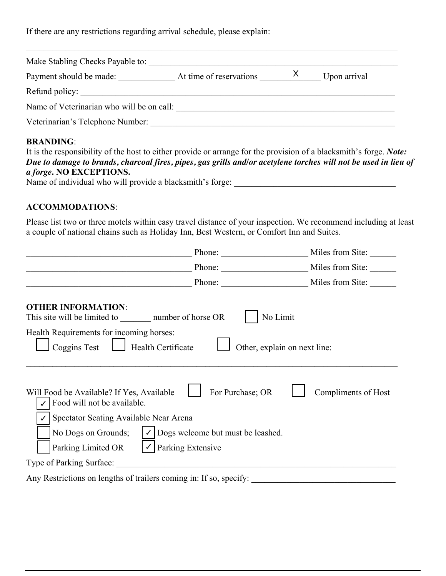If there are any restrictions regarding arrival schedule, please explain: Reach out to host Kenton Wright to arrange arrival time if outside accepted times

| Make Stabling Checks Payable to: Kenton Wright                                 |                         |              |              |  |  |
|--------------------------------------------------------------------------------|-------------------------|--------------|--------------|--|--|
| Payment should be made:                                                        | At time of reservations | $\mathsf{X}$ | Upon arrival |  |  |
| Refund policy: None                                                            |                         |              |              |  |  |
| Name of Veterinarian who will be on call: Eugenio Mannucci - Idaho Equine West |                         |              |              |  |  |
| Veterinarian's Telephone Number: 509-593-5138                                  |                         |              |              |  |  |

## BRANDING:

| It is the responsibility of the host to either provide or arrange for the provision of a blacksmith's forge. Note: |
|--------------------------------------------------------------------------------------------------------------------|
| Due to damage to brands, charcoal fires, pipes, gas grills and/or acetylene torches will not be used in lieu of    |
| <i>a forge.</i> NO EXCEPTIONS.                                                                                     |
| Name of individual who will provide a blacksmith's forge: Kenton Wright                                            |

#### **ACCOMMODATIONS:**

Please list two or three motels within easy travel distance of your inspection. We recommend including at least a couple of national chains such as Holiday Inn, Best Western, or Comfort Inn and Suites.

| Holiday Inn                                                                                              | Phone: 509-525-6200                         | Miles from Site: 7.8 |  |  |
|----------------------------------------------------------------------------------------------------------|---------------------------------------------|----------------------|--|--|
| Hilton                                                                                                   | Phone: 509-525-1398                         | Miles from Site: 6.8 |  |  |
|                                                                                                          | Phone:                                      | Miles from Site:     |  |  |
| <b>OTHER INFORMATION:</b><br>This site will be limited to 40<br>number of horse OR                       | No Limit                                    |                      |  |  |
| Health Requirements for incoming horses:<br>Coggins Test<br>Health Certificate                           | Other, explain on next line:                |                      |  |  |
| Will Food be Available? If Yes, Available<br>Food will not be available.                                 | For Purchase; OR                            | Compliments of Host  |  |  |
| Spectator Seating Available Near Arena                                                                   |                                             |                      |  |  |
| No Dogs on Grounds;                                                                                      | $\bigcup$ Dogs welcome but must be leashed. |                      |  |  |
| Parking Limited OR<br>$\mathcal{V}$ Parking Extensive                                                    |                                             |                      |  |  |
| Type of Parking Surface: Gravel parking lot for 80+ trucks and trailers with full roundabout             |                                             |                      |  |  |
| Any Restrictions on lengths of trailers coming in: If so, specify: No restrictioins full semi accessible |                                             |                      |  |  |